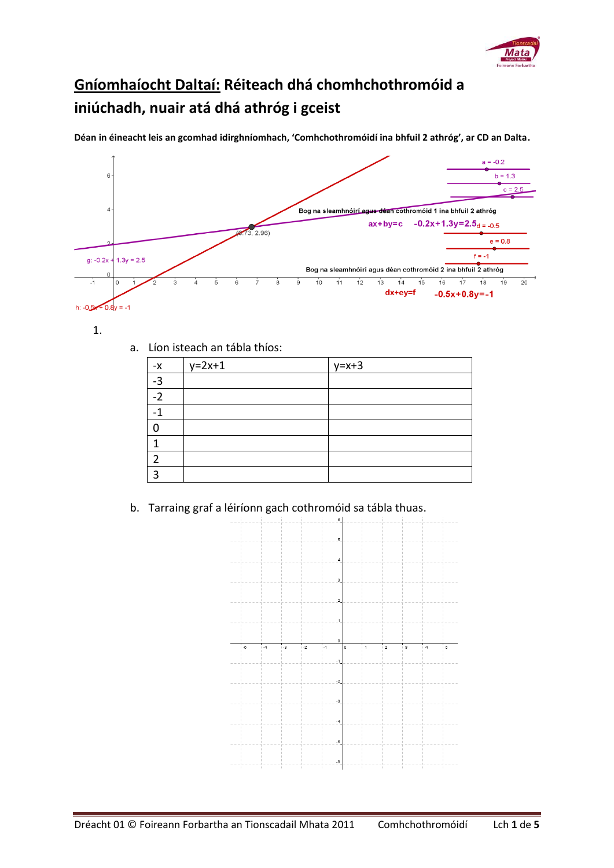

## **Gníomhaíocht Daltaí: Réiteach dhá chomhchothromóid a iniúchadh, nuair atá dhá athróg i gceist**

**Déan in éineacht leis an gcomhad idirghníomhach, 'Comhchothromóidí ina bhfuil 2 athróg', ar CD an Dalta.**



1.

a. Líon isteach an tábla thíos:

| $-X$           | $y=2x+1$ | $y=x+3$ |
|----------------|----------|---------|
| $-3$           |          |         |
| $-2$           |          |         |
|                |          |         |
| r              |          |         |
|                |          |         |
| ີ              |          |         |
| $\overline{a}$ |          |         |

b. Tarraing graf a léiríonn gach cothromóid sa tábla thuas.

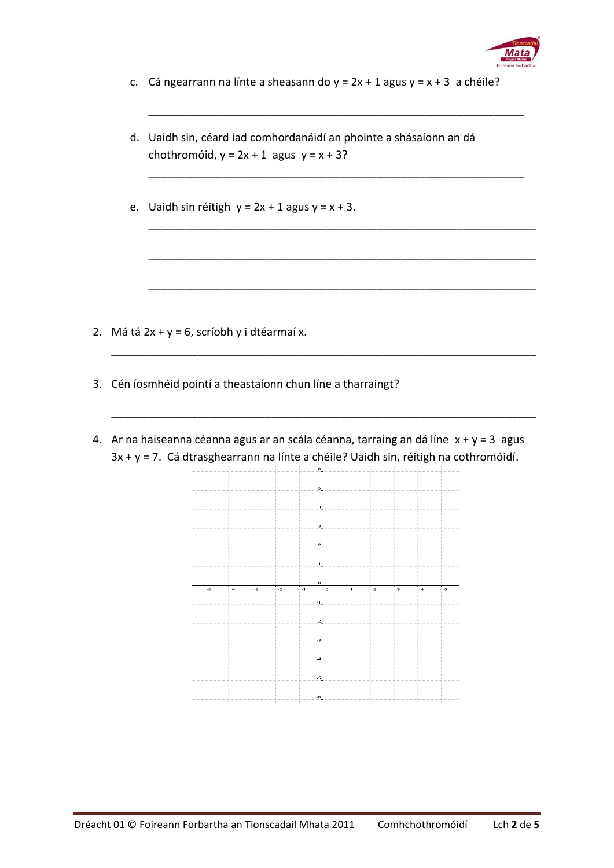

c. Cá ngearrann na línte a sheasann do  $y = 2x + 1$  agus  $y = x + 3$  a chéile?

\_\_\_\_\_\_\_\_\_\_\_\_\_\_\_\_\_\_\_\_\_\_\_\_\_\_\_\_\_\_\_\_\_\_\_\_\_\_\_\_\_\_\_\_\_\_\_\_\_\_\_\_\_\_\_\_\_\_\_\_\_

\_\_\_\_\_\_\_\_\_\_\_\_\_\_\_\_\_\_\_\_\_\_\_\_\_\_\_\_\_\_\_\_\_\_\_\_\_\_\_\_\_\_\_\_\_\_\_\_\_\_\_\_\_\_\_\_\_\_\_\_\_

\_\_\_\_\_\_\_\_\_\_\_\_\_\_\_\_\_\_\_\_\_\_\_\_\_\_\_\_\_\_\_\_\_\_\_\_\_\_\_\_\_\_\_\_\_\_\_\_\_\_\_\_\_\_\_\_\_\_\_\_\_\_\_

\_\_\_\_\_\_\_\_\_\_\_\_\_\_\_\_\_\_\_\_\_\_\_\_\_\_\_\_\_\_\_\_\_\_\_\_\_\_\_\_\_\_\_\_\_\_\_\_\_\_\_\_\_\_\_\_\_\_\_\_\_\_\_

\_\_\_\_\_\_\_\_\_\_\_\_\_\_\_\_\_\_\_\_\_\_\_\_\_\_\_\_\_\_\_\_\_\_\_\_\_\_\_\_\_\_\_\_\_\_\_\_\_\_\_\_\_\_\_\_\_\_\_\_\_\_\_

\_\_\_\_\_\_\_\_\_\_\_\_\_\_\_\_\_\_\_\_\_\_\_\_\_\_\_\_\_\_\_\_\_\_\_\_\_\_\_\_\_\_\_\_\_\_\_\_\_\_\_\_\_\_\_\_\_\_\_\_\_\_\_\_\_\_\_\_\_

\_\_\_\_\_\_\_\_\_\_\_\_\_\_\_\_\_\_\_\_\_\_\_\_\_\_\_\_\_\_\_\_\_\_\_\_\_\_\_\_\_\_\_\_\_\_\_\_\_\_\_\_\_\_\_\_\_\_\_\_\_\_\_\_\_\_\_\_\_

- d. Uaidh sin, céard iad comhordanáidí an phointe a shásaíonn an dá chothromóid,  $y = 2x + 1$  agus  $y = x + 3$ ?
- e. Uaidh sin réitigh  $y = 2x + 1$  agus  $y = x + 3$ .

- 2. Má tá  $2x + y = 6$ , scríobh y i dtéarmaí x.
- 3. Cén íosmhéid pointí a theastaíonn chun líne a tharraingt?
- 4. Ar na haiseanna céanna agus ar an scála céanna, tarraing an dá líne  $x + y = 3$  agus 3x + y = 7. Cá dtrasghearrann na línte a chéile? Uaidh sin, réitigh na cothromóidí.

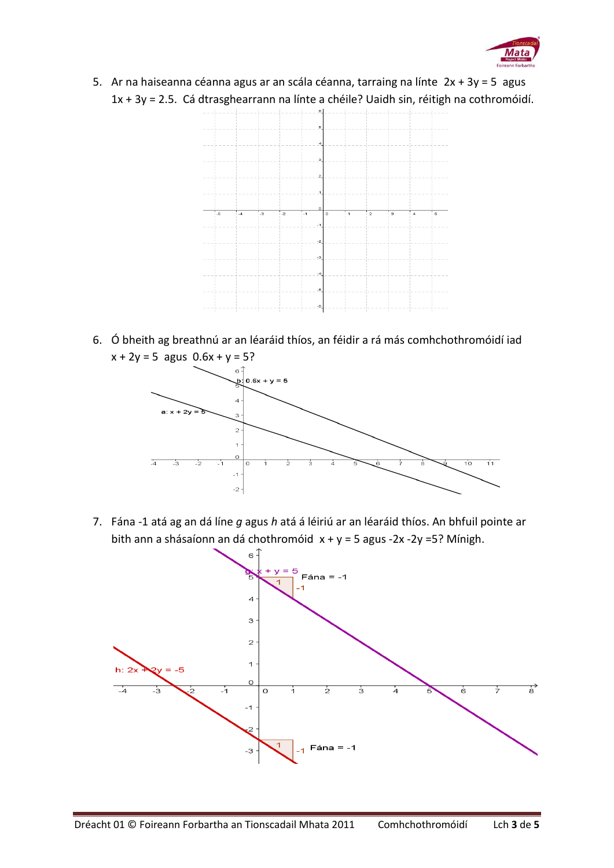

5. Ar na haiseanna céanna agus ar an scála céanna, tarraing na línte 2x + 3y = 5 agus 1x + 3y = 2.5. Cá dtrasghearrann na línte a chéile? Uaidh sin, réitigh na cothromóidí.



6. Ó bheith ag breathnú ar an léaráid thíos, an féidir a rá más comhchothromóidí iad  $x + 2y = 5$  agus  $0.6x + y = 5$ ?



7. Fána -1 atá ag an dá líne *g* agus *h* atá á léiriú ar an léaráid thíos. An bhfuil pointe ar bith ann a shásaíonn an dá chothromóid x + y = 5 agus -2x -2y =5? Mínigh.

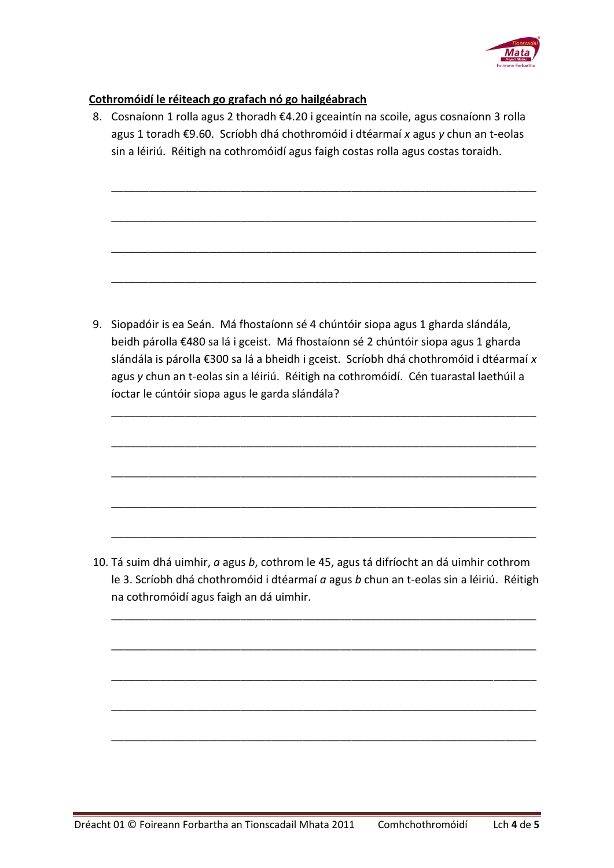

## **Cothromóidí le réiteach go grafach nó go hailgéabrach**

8. Cosnaíonn 1 rolla agus 2 thoradh €4.20 i gceaintín na scoile, agus cosnaíonn 3 rolla agus 1 toradh €9.60. Scríobh dhá chothromóid i dtéarmaí *x* agus *y* chun an t-eolas sin a léiriú. Réitigh na cothromóidí agus faigh costas rolla agus costas toraidh.

\_\_\_\_\_\_\_\_\_\_\_\_\_\_\_\_\_\_\_\_\_\_\_\_\_\_\_\_\_\_\_\_\_\_\_\_\_\_\_\_\_\_\_\_\_\_\_\_\_\_\_\_\_\_\_\_\_\_\_\_\_\_\_\_\_\_\_\_\_

\_\_\_\_\_\_\_\_\_\_\_\_\_\_\_\_\_\_\_\_\_\_\_\_\_\_\_\_\_\_\_\_\_\_\_\_\_\_\_\_\_\_\_\_\_\_\_\_\_\_\_\_\_\_\_\_\_\_\_\_\_\_\_\_\_\_\_\_\_

\_\_\_\_\_\_\_\_\_\_\_\_\_\_\_\_\_\_\_\_\_\_\_\_\_\_\_\_\_\_\_\_\_\_\_\_\_\_\_\_\_\_\_\_\_\_\_\_\_\_\_\_\_\_\_\_\_\_\_\_\_\_\_\_\_\_\_\_\_

\_\_\_\_\_\_\_\_\_\_\_\_\_\_\_\_\_\_\_\_\_\_\_\_\_\_\_\_\_\_\_\_\_\_\_\_\_\_\_\_\_\_\_\_\_\_\_\_\_\_\_\_\_\_\_\_\_\_\_\_\_\_\_\_\_\_\_\_\_

9. Siopadóir is ea Seán. Má fhostaíonn sé 4 chúntóir siopa agus 1 gharda slándála, beidh párolla €480 sa lá i gceist. Má fhostaíonn sé 2 chúntóir siopa agus 1 gharda slándála is párolla €300 sa lá a bheidh i gceist. Scríobh dhá chothromóid i dtéarmaí *x* agus *y* chun an t-eolas sin a léiriú. Réitigh na cothromóidí. Cén tuarastal laethúil a íoctar le cúntóir siopa agus le garda slándála?

\_\_\_\_\_\_\_\_\_\_\_\_\_\_\_\_\_\_\_\_\_\_\_\_\_\_\_\_\_\_\_\_\_\_\_\_\_\_\_\_\_\_\_\_\_\_\_\_\_\_\_\_\_\_\_\_\_\_\_\_\_\_\_\_\_\_\_\_\_

\_\_\_\_\_\_\_\_\_\_\_\_\_\_\_\_\_\_\_\_\_\_\_\_\_\_\_\_\_\_\_\_\_\_\_\_\_\_\_\_\_\_\_\_\_\_\_\_\_\_\_\_\_\_\_\_\_\_\_\_\_\_\_\_\_\_\_\_\_

\_\_\_\_\_\_\_\_\_\_\_\_\_\_\_\_\_\_\_\_\_\_\_\_\_\_\_\_\_\_\_\_\_\_\_\_\_\_\_\_\_\_\_\_\_\_\_\_\_\_\_\_\_\_\_\_\_\_\_\_\_\_\_\_\_\_\_\_\_

\_\_\_\_\_\_\_\_\_\_\_\_\_\_\_\_\_\_\_\_\_\_\_\_\_\_\_\_\_\_\_\_\_\_\_\_\_\_\_\_\_\_\_\_\_\_\_\_\_\_\_\_\_\_\_\_\_\_\_\_\_\_\_\_\_\_\_\_\_

\_\_\_\_\_\_\_\_\_\_\_\_\_\_\_\_\_\_\_\_\_\_\_\_\_\_\_\_\_\_\_\_\_\_\_\_\_\_\_\_\_\_\_\_\_\_\_\_\_\_\_\_\_\_\_\_\_\_\_\_\_\_\_\_\_\_\_\_\_

10. Tá suim dhá uimhir, *a* agus *b*, cothrom le 45, agus tá difríocht an dá uimhir cothrom le 3. Scríobh dhá chothromóid i dtéarmaí *a* agus *b* chun an t-eolas sin a léiriú. Réitigh na cothromóidí agus faigh an dá uimhir.

\_\_\_\_\_\_\_\_\_\_\_\_\_\_\_\_\_\_\_\_\_\_\_\_\_\_\_\_\_\_\_\_\_\_\_\_\_\_\_\_\_\_\_\_\_\_\_\_\_\_\_\_\_\_\_\_\_\_\_\_\_\_\_\_\_\_\_\_\_

\_\_\_\_\_\_\_\_\_\_\_\_\_\_\_\_\_\_\_\_\_\_\_\_\_\_\_\_\_\_\_\_\_\_\_\_\_\_\_\_\_\_\_\_\_\_\_\_\_\_\_\_\_\_\_\_\_\_\_\_\_\_\_\_\_\_\_\_\_

\_\_\_\_\_\_\_\_\_\_\_\_\_\_\_\_\_\_\_\_\_\_\_\_\_\_\_\_\_\_\_\_\_\_\_\_\_\_\_\_\_\_\_\_\_\_\_\_\_\_\_\_\_\_\_\_\_\_\_\_\_\_\_\_\_\_\_\_\_

\_\_\_\_\_\_\_\_\_\_\_\_\_\_\_\_\_\_\_\_\_\_\_\_\_\_\_\_\_\_\_\_\_\_\_\_\_\_\_\_\_\_\_\_\_\_\_\_\_\_\_\_\_\_\_\_\_\_\_\_\_\_\_\_\_\_\_\_\_

\_\_\_\_\_\_\_\_\_\_\_\_\_\_\_\_\_\_\_\_\_\_\_\_\_\_\_\_\_\_\_\_\_\_\_\_\_\_\_\_\_\_\_\_\_\_\_\_\_\_\_\_\_\_\_\_\_\_\_\_\_\_\_\_\_\_\_\_\_